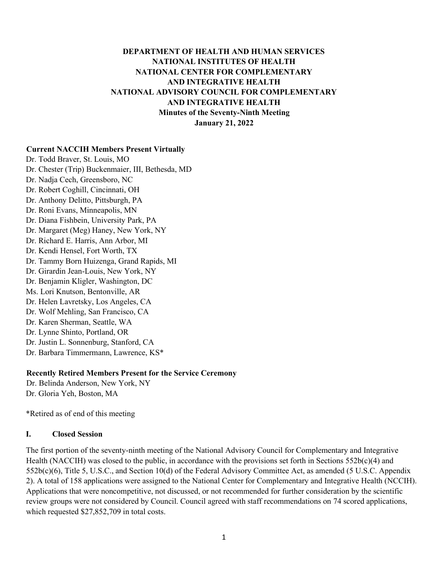## **DEPARTMENT OF HEALTH AND HUMAN SERVICES NATIONAL INSTITUTES OF HEALTH NATIONAL CENTER FOR COMPLEMENTARY AND INTEGRATIVE HEALTH NATIONAL ADVISORY COUNCIL FOR COMPLEMENTARY AND INTEGRATIVE HEALTH Minutes of the Seventy-Ninth Meeting January 21, 2022**

#### **Current NACCIH Members Present Virtually**

Dr. Todd Braver, St. Louis, MO Dr. Chester (Trip) Buckenmaier, III, Bethesda, MD Dr. Nadja Cech, Greensboro, NC Dr. Robert Coghill, Cincinnati, OH Dr. Anthony Delitto, Pittsburgh, PA Dr. Roni Evans, Minneapolis, MN Dr. Diana Fishbein, University Park, PA Dr. Margaret (Meg) Haney, New York, NY Dr. Richard E. Harris, Ann Arbor, MI Dr. Kendi Hensel, Fort Worth, TX Dr. Tammy Born Huizenga, Grand Rapids, MI Dr. Girardin Jean-Louis, New York, NY Dr. Benjamin Kligler, Washington, DC Ms. Lori Knutson, Bentonville, AR Dr. Helen Lavretsky, Los Angeles, CA Dr. Wolf Mehling, San Francisco, CA Dr. Karen Sherman, Seattle, WA Dr. Lynne Shinto, Portland, OR Dr. Justin L. Sonnenburg, Stanford, CA Dr. Barbara Timmermann, Lawrence, KS\*

#### **Recently Retired Members Present for the Service Ceremony**

Dr. Belinda Anderson, New York, NY Dr. Gloria Yeh, Boston, MA

\*Retired as of end of this meeting

#### **I. Closed Session**

The first portion of the seventy-ninth meeting of the National Advisory Council for Complementary and Integrative Health (NACCIH) was closed to the public, in accordance with the provisions set forth in Sections  $552b(c)(4)$  and 552b(c)(6), Title 5, U.S.C., and Section 10(d) of the Federal Advisory Committee Act, as amended (5 U.S.C. Appendix 2). A total of 158 applications were assigned to the National Center for Complementary and Integrative Health (NCCIH). Applications that were noncompetitive, not discussed, or not recommended for further consideration by the scientific review groups were not considered by Council. Council agreed with staff recommendations on 74 scored applications, which requested \$27,852,709 in total costs.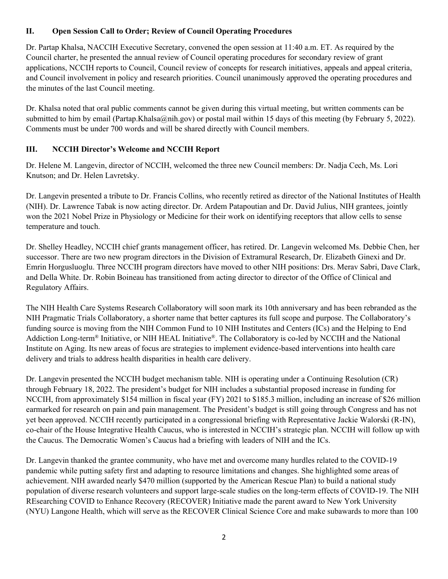## **II. Open Session Call to Order; Review of Council Operating Procedures**

Dr. Partap Khalsa, NACCIH Executive Secretary, convened the open session at 11:40 a.m. ET. As required by the Council charter, he presented the annual review of Council operating procedures for secondary review of grant applications, NCCIH reports to Council, Council review of concepts for research initiatives, appeals and appeal criteria, and Council involvement in policy and research priorities. Council unanimously approved the operating procedures and the minutes of the last Council meeting.

Dr. Khalsa noted that oral public comments cannot be given during this virtual meeting, but written comments can be submitted to him by email (Partap.Khalsa@nih.gov) or postal mail within 15 days of this meeting (by February 5, 2022). Comments must be under 700 words and will be shared directly with Council members.

## **III. NCCIH Director's Welcome and NCCIH Report**

Dr. Helene M. Langevin, director of NCCIH, welcomed the three new Council members: Dr. Nadja Cech, Ms. Lori Knutson; and Dr. Helen Lavretsky.

Dr. Langevin presented a tribute to Dr. Francis Collins, who recently retired as director of the National Institutes of Health (NIH). Dr. Lawrence Tabak is now acting director. Dr. Ardem Patapoutian and Dr. David Julius, NIH grantees, jointly won the 2021 Nobel Prize in Physiology or Medicine for their work on identifying receptors that allow cells to sense temperature and touch.

Dr. Shelley Headley, NCCIH chief grants management officer, has retired. Dr. Langevin welcomed Ms. Debbie Chen, her successor. There are two new program directors in the Division of Extramural Research, Dr. Elizabeth Ginexi and Dr. Emrin Horgusluoglu. Three NCCIH program directors have moved to other NIH positions: Drs. Merav Sabri, Dave Clark, and Della White. Dr. Robin Boineau has transitioned from acting director to director of the Office of Clinical and Regulatory Affairs.

The NIH Health Care Systems Research Collaboratory will soon mark its 10th anniversary and has been rebranded as the NIH Pragmatic Trials Collaboratory, a shorter name that better captures its full scope and purpose. The Collaboratory's funding source is moving from the NIH Common Fund to 10 NIH Institutes and Centers (ICs) and the Helping to End Addiction Long-term® Initiative, or NIH HEAL Initiative®. The Collaboratory is co-led by NCCIH and the National Institute on Aging. Its new areas of focus are strategies to implement evidence-based interventions into health care delivery and trials to address health disparities in health care delivery.

Dr. Langevin presented the NCCIH budget mechanism table. NIH is operating under a Continuing Resolution (CR) through February 18, 2022. The president's budget for NIH includes a substantial proposed increase in funding for NCCIH, from approximately \$154 million in fiscal year (FY) 2021 to \$185.3 million, including an increase of \$26 million earmarked for research on pain and pain management. The President's budget is still going through Congress and has not yet been approved. NCCIH recently participated in a congressional briefing with Representative Jackie Walorski (R-IN), co-chair of the House Integrative Health Caucus, who is interested in NCCIH's strategic plan. NCCIH will follow up with the Caucus. The Democratic Women's Caucus had a briefing with leaders of NIH and the ICs.

Dr. Langevin thanked the grantee community, who have met and overcome many hurdles related to the COVID-19 pandemic while putting safety first and adapting to resource limitations and changes. She highlighted some areas of achievement. NIH awarded nearly \$470 million (supported by the American Rescue Plan) to build a national study population of diverse research volunteers and support large-scale studies on the long-term effects of COVID-19. The NIH REsearching COVID to Enhance Recovery (RECOVER) Initiative made the parent award to New York University (NYU) Langone Health, which will serve as the RECOVER Clinical Science Core and make subawards to more than 100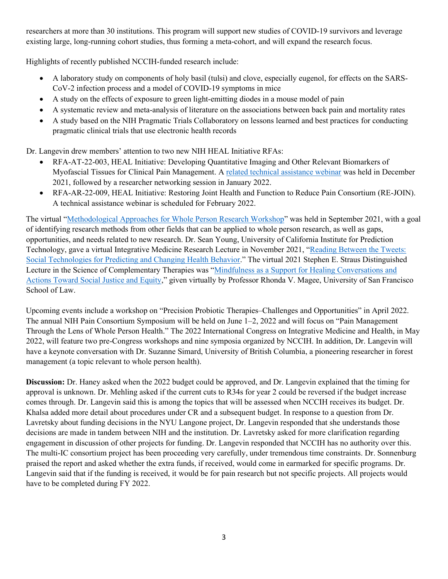researchers at more than 30 institutions. This program will support new studies of COVID-19 survivors and leverage existing large, long-running cohort studies, thus forming a meta-cohort, and will expand the research focus.

Highlights of recently published NCCIH-funded research include:

- A laboratory study on components of holy basil (tulsi) and clove, especially eugenol, for effects on the SARS-CoV-2 infection process and a model of COVID-19 symptoms in mice
- A study on the effects of exposure to green light-emitting diodes in a mouse model of pain
- A systematic review and meta-analysis of literature on the associations between back pain and mortality rates
- A study based on the NIH Pragmatic Trials Collaboratory on lessons learned and best practices for conducting pragmatic clinical trials that use electronic health records

Dr. Langevin drew members' attention to two new NIH HEAL Initiative RFAs:

- RFA-AT-22-003, HEAL Initiative: Developing Quantitative Imaging and Other Relevant Biomarkers of Myofascial Tissues for Clinical Pain Management. A [related technical assistance webinar](https://www.nccih.nih.gov/news/events/heal-initiative-developing-quantitative-imaging-and-other-relevant-biomarkers-of-myofascial-tissues-for-clinical-pain-management-informational-webinar) was held in December 2021, followed by a researcher networking session in January 2022.
- RFA-AR-22-009, HEAL Initiative: Restoring Joint Health and Function to Reduce Pain Consortium (RE-JOIN). A technical assistance webinar is scheduled for February 2022.

The virtual "[Methodological Approaches for Whole Person Research Workshop](https://www.nccih.nih.gov/news/events/methodological-approaches-for-whole-person-research)" was held in September 2021, with a goal of identifying research methods from other fields that can be applied to whole person research, as well as gaps, opportunities, and needs related to new research. Dr. Sean Young, University of California Institute for Prediction Technology, gave a virtual Integrative Medicine Research Lecture in November 2021, "[Reading Between the Tweets:](https://www.nccih.nih.gov/news/events/reading-between-the-tweets-social-technologies-for-predicting-and-changing-health-behavior)  [Social Technologies for Predicting and Changing Health Behavior](https://www.nccih.nih.gov/news/events/reading-between-the-tweets-social-technologies-for-predicting-and-changing-health-behavior)." The virtual 2021 Stephen E. Straus Distinguished Lecture in the Science of Complementary Therapies was "[Mindfulness as a Support for Healing Conversations and](https://www.nccih.nih.gov/news/events/distinguished-lecture-series/mindfulness-as-a-support-for-healing-conversations-and-actions-toward-social-justice-and-equity)  [Actions Toward Social Justice and Equity,](https://www.nccih.nih.gov/news/events/distinguished-lecture-series/mindfulness-as-a-support-for-healing-conversations-and-actions-toward-social-justice-and-equity)" given virtually by Professor Rhonda V. Magee, University of San Francisco School of Law.

Upcoming events include a workshop on "Precision Probiotic Therapies–Challenges and Opportunities" in April 2022. The annual NIH Pain Consortium Symposium will be held on June 1–2, 2022 and will focus on "Pain Management Through the Lens of Whole Person Health." The 2022 International Congress on Integrative Medicine and Health, in May 2022, will feature two pre-Congress workshops and nine symposia organized by NCCIH. In addition, Dr. Langevin will have a keynote conversation with Dr. Suzanne Simard, University of British Columbia, a pioneering researcher in forest management (a topic relevant to whole person health).

**Discussion:** Dr. Haney asked when the 2022 budget could be approved, and Dr. Langevin explained that the timing for approval is unknown. Dr. Mehling asked if the current cuts to R34s for year 2 could be reversed if the budget increase comes through. Dr. Langevin said this is among the topics that will be assessed when NCCIH receives its budget. Dr. Khalsa added more detail about procedures under CR and a subsequent budget. In response to a question from Dr. Lavretsky about funding decisions in the NYU Langone project, Dr. Langevin responded that she understands those decisions are made in tandem between NIH and the institution. Dr. Lavretsky asked for more clarification regarding engagement in discussion of other projects for funding. Dr. Langevin responded that NCCIH has no authority over this. The multi-IC consortium project has been proceeding very carefully, under tremendous time constraints. Dr. Sonnenburg praised the report and asked whether the extra funds, if received, would come in earmarked for specific programs. Dr. Langevin said that if the funding is received, it would be for pain research but not specific projects. All projects would have to be completed during FY 2022.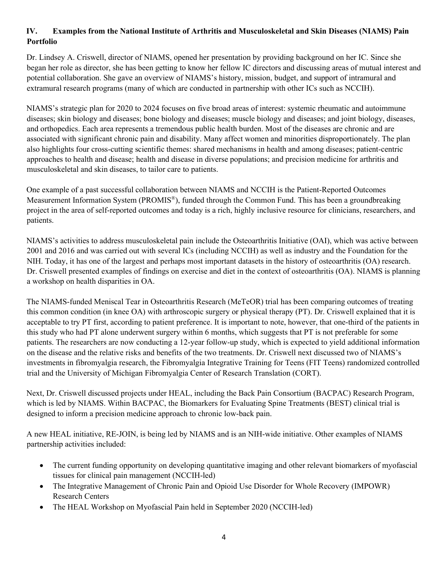## **IV. Examples from the National Institute of Arthritis and Musculoskeletal and Skin Diseases (NIAMS) Pain Portfolio**

Dr. Lindsey A. Criswell, director of NIAMS, opened her presentation by providing background on her IC. Since she began her role as director, she has been getting to know her fellow IC directors and discussing areas of mutual interest and potential collaboration. She gave an overview of NIAMS's history, mission, budget, and support of intramural and extramural research programs (many of which are conducted in partnership with other ICs such as NCCIH).

NIAMS's strategic plan for 2020 to 2024 focuses on five broad areas of interest: systemic rheumatic and autoimmune diseases; skin biology and diseases; bone biology and diseases; muscle biology and diseases; and joint biology, diseases, and orthopedics. Each area represents a tremendous public health burden. Most of the diseases are chronic and are associated with significant chronic pain and disability. Many affect women and minorities disproportionately. The plan also highlights four cross-cutting scientific themes: shared mechanisms in health and among diseases; patient-centric approaches to health and disease; health and disease in diverse populations; and precision medicine for arthritis and musculoskeletal and skin diseases, to tailor care to patients.

One example of a past successful collaboration between NIAMS and NCCIH is the Patient-Reported Outcomes Measurement Information System (PROMIS®), funded through the Common Fund. This has been a groundbreaking project in the area of self-reported outcomes and today is a rich, highly inclusive resource for clinicians, researchers, and patients.

NIAMS's activities to address musculoskeletal pain include the Osteoarthritis Initiative (OAI), which was active between 2001 and 2016 and was carried out with several ICs (including NCCIH) as well as industry and the Foundation for the NIH. Today, it has one of the largest and perhaps most important datasets in the history of osteoarthritis (OA) research. Dr. Criswell presented examples of findings on exercise and diet in the context of osteoarthritis (OA). NIAMS is planning a workshop on health disparities in OA.

The NIAMS-funded Meniscal Tear in Osteoarthritis Research (MeTeOR) trial has been comparing outcomes of treating this common condition (in knee OA) with arthroscopic surgery or physical therapy (PT). Dr. Criswell explained that it is acceptable to try PT first, according to patient preference. It is important to note, however, that one-third of the patients in this study who had PT alone underwent surgery within 6 months, which suggests that PT is not preferable for some patients. The researchers are now conducting a 12-year follow-up study, which is expected to yield additional information on the disease and the relative risks and benefits of the two treatments. Dr. Criswell next discussed two of NIAMS's investments in fibromyalgia research, the Fibromyalgia Integrative Training for Teens (FIT Teens) randomized controlled trial and the University of Michigan Fibromyalgia Center of Research Translation (CORT).

Next, Dr. Criswell discussed projects under HEAL, including the Back Pain Consortium (BACPAC) Research Program, which is led by NIAMS. Within BACPAC, the Biomarkers for Evaluating Spine Treatments (BEST) clinical trial is designed to inform a precision medicine approach to chronic low-back pain.

A new HEAL initiative, RE-JOIN, is being led by NIAMS and is an NIH-wide initiative. Other examples of NIAMS partnership activities included:

- The current funding opportunity on developing quantitative imaging and other relevant biomarkers of myofascial tissues for clinical pain management (NCCIH-led)
- The Integrative Management of Chronic Pain and Opioid Use Disorder for Whole Recovery (IMPOWR) Research Centers
- The HEAL Workshop on Myofascial Pain held in September 2020 (NCCIH-led)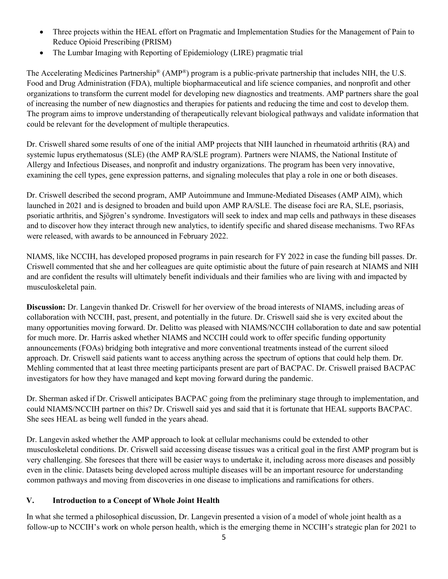- Three projects within the HEAL effort on Pragmatic and Implementation Studies for the Management of Pain to Reduce Opioid Prescribing (PRISM)
- The Lumbar Imaging with Reporting of Epidemiology (LIRE) pragmatic trial

The Accelerating Medicines Partnership<sup>®</sup> (AMP<sup>®</sup>) program is a public-private partnership that includes NIH, the U.S. Food and Drug Administration (FDA), multiple biopharmaceutical and life science companies, and nonprofit and other organizations to transform the current model for developing new diagnostics and treatments. AMP partners share the goal of increasing the number of new diagnostics and therapies for patients and reducing the time and cost to develop them. The program aims to improve understanding of therapeutically relevant biological pathways and validate information that could be relevant for the development of multiple therapeutics.

Dr. Criswell shared some results of one of the initial AMP projects that NIH launched in rheumatoid arthritis (RA) and systemic lupus erythematosus (SLE) (the AMP RA/SLE program). Partners were NIAMS, the National Institute of Allergy and Infectious Diseases, and nonprofit and industry organizations. The program has been very innovative, examining the cell types, gene expression patterns, and signaling molecules that play a role in one or both diseases.

Dr. Criswell described the second program, AMP Autoimmune and Immune-Mediated Diseases (AMP AIM), which launched in 2021 and is designed to broaden and build upon AMP RA/SLE. The disease foci are RA, SLE, psoriasis, psoriatic arthritis, and Sjögren's syndrome. Investigators will seek to index and map cells and pathways in these diseases and to discover how they interact through new analytics, to identify specific and shared disease mechanisms. Two RFAs were released, with awards to be announced in February 2022.

NIAMS, like NCCIH, has developed proposed programs in pain research for FY 2022 in case the funding bill passes. Dr. Criswell commented that she and her colleagues are quite optimistic about the future of pain research at NIAMS and NIH and are confident the results will ultimately benefit individuals and their families who are living with and impacted by musculoskeletal pain.

**Discussion:** Dr. Langevin thanked Dr. Criswell for her overview of the broad interests of NIAMS, including areas of collaboration with NCCIH, past, present, and potentially in the future. Dr. Criswell said she is very excited about the many opportunities moving forward. Dr. Delitto was pleased with NIAMS/NCCIH collaboration to date and saw potential for much more. Dr. Harris asked whether NIAMS and NCCIH could work to offer specific funding opportunity announcements (FOAs) bridging both integrative and more conventional treatments instead of the current siloed approach. Dr. Criswell said patients want to access anything across the spectrum of options that could help them. Dr. Mehling commented that at least three meeting participants present are part of BACPAC. Dr. Criswell praised BACPAC investigators for how they have managed and kept moving forward during the pandemic.

Dr. Sherman asked if Dr. Criswell anticipates BACPAC going from the preliminary stage through to implementation, and could NIAMS/NCCIH partner on this? Dr. Criswell said yes and said that it is fortunate that HEAL supports BACPAC. She sees HEAL as being well funded in the years ahead.

Dr. Langevin asked whether the AMP approach to look at cellular mechanisms could be extended to other musculoskeletal conditions. Dr. Criswell said accessing disease tissues was a critical goal in the first AMP program but is very challenging. She foresees that there will be easier ways to undertake it, including across more diseases and possibly even in the clinic. Datasets being developed across multiple diseases will be an important resource for understanding common pathways and moving from discoveries in one disease to implications and ramifications for others.

## **V. Introduction to a Concept of Whole Joint Health**

In what she termed a philosophical discussion, Dr. Langevin presented a vision of a model of whole joint health as a follow-up to NCCIH's work on whole person health, which is the emerging theme in NCCIH's strategic plan for 2021 to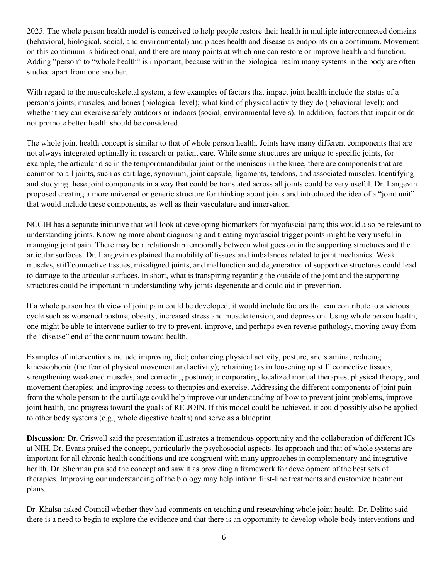2025. The whole person health model is conceived to help people restore their health in multiple interconnected domains (behavioral, biological, social, and environmental) and places health and disease as endpoints on a continuum. Movement on this continuum is bidirectional, and there are many points at which one can restore or improve health and function. Adding "person" to "whole health" is important, because within the biological realm many systems in the body are often studied apart from one another.

With regard to the musculoskeletal system, a few examples of factors that impact joint health include the status of a person's joints, muscles, and bones (biological level); what kind of physical activity they do (behavioral level); and whether they can exercise safely outdoors or indoors (social, environmental levels). In addition, factors that impair or do not promote better health should be considered.

The whole joint health concept is similar to that of whole person health. Joints have many different components that are not always integrated optimally in research or patient care. While some structures are unique to specific joints, for example, the articular disc in the temporomandibular joint or the meniscus in the knee, there are components that are common to all joints, such as cartilage, synovium, joint capsule, ligaments, tendons, and associated muscles. Identifying and studying these joint components in a way that could be translated across all joints could be very useful. Dr. Langevin proposed creating a more universal or generic structure for thinking about joints and introduced the idea of a "joint unit" that would include these components, as well as their vasculature and innervation.

NCCIH has a separate initiative that will look at developing biomarkers for myofascial pain; this would also be relevant to understanding joints. Knowing more about diagnosing and treating myofascial trigger points might be very useful in managing joint pain. There may be a relationship temporally between what goes on in the supporting structures and the articular surfaces. Dr. Langevin explained the mobility of tissues and imbalances related to joint mechanics. Weak muscles, stiff connective tissues, misaligned joints, and malfunction and degeneration of supportive structures could lead to damage to the articular surfaces. In short, what is transpiring regarding the outside of the joint and the supporting structures could be important in understanding why joints degenerate and could aid in prevention.

If a whole person health view of joint pain could be developed, it would include factors that can contribute to a vicious cycle such as worsened posture, obesity, increased stress and muscle tension, and depression. Using whole person health, one might be able to intervene earlier to try to prevent, improve, and perhaps even reverse pathology, moving away from the "disease" end of the continuum toward health.

Examples of interventions include improving diet; enhancing physical activity, posture, and stamina; reducing kinesiophobia (the fear of physical movement and activity); retraining (as in loosening up stiff connective tissues, strengthening weakened muscles, and correcting posture); incorporating localized manual therapies, physical therapy, and movement therapies; and improving access to therapies and exercise. Addressing the different components of joint pain from the whole person to the cartilage could help improve our understanding of how to prevent joint problems, improve joint health, and progress toward the goals of RE-JOIN. If this model could be achieved, it could possibly also be applied to other body systems (e.g., whole digestive health) and serve as a blueprint.

**Discussion:** Dr. Criswell said the presentation illustrates a tremendous opportunity and the collaboration of different ICs at NIH. Dr. Evans praised the concept, particularly the psychosocial aspects. Its approach and that of whole systems are important for all chronic health conditions and are congruent with many approaches in complementary and integrative health. Dr. Sherman praised the concept and saw it as providing a framework for development of the best sets of therapies. Improving our understanding of the biology may help inform first-line treatments and customize treatment plans.

Dr. Khalsa asked Council whether they had comments on teaching and researching whole joint health. Dr. Delitto said there is a need to begin to explore the evidence and that there is an opportunity to develop whole-body interventions and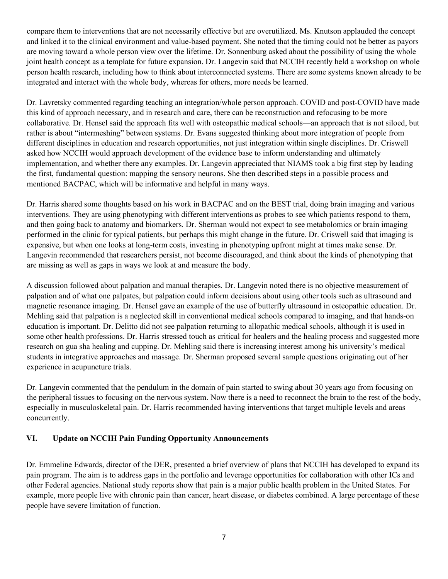compare them to interventions that are not necessarily effective but are overutilized. Ms. Knutson applauded the concept and linked it to the clinical environment and value-based payment. She noted that the timing could not be better as payors are moving toward a whole person view over the lifetime. Dr. Sonnenburg asked about the possibility of using the whole joint health concept as a template for future expansion. Dr. Langevin said that NCCIH recently held a workshop on whole person health research, including how to think about interconnected systems. There are some systems known already to be integrated and interact with the whole body, whereas for others, more needs be learned.

Dr. Lavretsky commented regarding teaching an integration/whole person approach. COVID and post-COVID have made this kind of approach necessary, and in research and care, there can be reconstruction and refocusing to be more collaborative. Dr. Hensel said the approach fits well with osteopathic medical schools—an approach that is not siloed, but rather is about "intermeshing" between systems. Dr. Evans suggested thinking about more integration of people from different disciplines in education and research opportunities, not just integration within single disciplines. Dr. Criswell asked how NCCIH would approach development of the evidence base to inform understanding and ultimately implementation, and whether there any examples. Dr. Langevin appreciated that NIAMS took a big first step by leading the first, fundamental question: mapping the sensory neurons. She then described steps in a possible process and mentioned BACPAC, which will be informative and helpful in many ways.

Dr. Harris shared some thoughts based on his work in BACPAC and on the BEST trial, doing brain imaging and various interventions. They are using phenotyping with different interventions as probes to see which patients respond to them, and then going back to anatomy and biomarkers. Dr. Sherman would not expect to see metabolomics or brain imaging performed in the clinic for typical patients, but perhaps this might change in the future. Dr. Criswell said that imaging is expensive, but when one looks at long-term costs, investing in phenotyping upfront might at times make sense. Dr. Langevin recommended that researchers persist, not become discouraged, and think about the kinds of phenotyping that are missing as well as gaps in ways we look at and measure the body.

A discussion followed about palpation and manual therapies. Dr. Langevin noted there is no objective measurement of palpation and of what one palpates, but palpation could inform decisions about using other tools such as ultrasound and magnetic resonance imaging. Dr. Hensel gave an example of the use of butterfly ultrasound in osteopathic education. Dr. Mehling said that palpation is a neglected skill in conventional medical schools compared to imaging, and that hands-on education is important. Dr. Delitto did not see palpation returning to allopathic medical schools, although it is used in some other health professions. Dr. Harris stressed touch as critical for healers and the healing process and suggested more research on gua sha healing and cupping. Dr. Mehling said there is increasing interest among his university's medical students in integrative approaches and massage. Dr. Sherman proposed several sample questions originating out of her experience in acupuncture trials.

Dr. Langevin commented that the pendulum in the domain of pain started to swing about 30 years ago from focusing on the peripheral tissues to focusing on the nervous system. Now there is a need to reconnect the brain to the rest of the body, especially in musculoskeletal pain. Dr. Harris recommended having interventions that target multiple levels and areas concurrently.

## **VI. Update on NCCIH Pain Funding Opportunity Announcements**

Dr. Emmeline Edwards, director of the DER, presented a brief overview of plans that NCCIH has developed to expand its pain program. The aim is to address gaps in the portfolio and leverage opportunities for collaboration with other ICs and other Federal agencies. National study reports show that pain is a major public health problem in the United States. For example, more people live with chronic pain than cancer, heart disease, or diabetes combined. A large percentage of these people have severe limitation of function.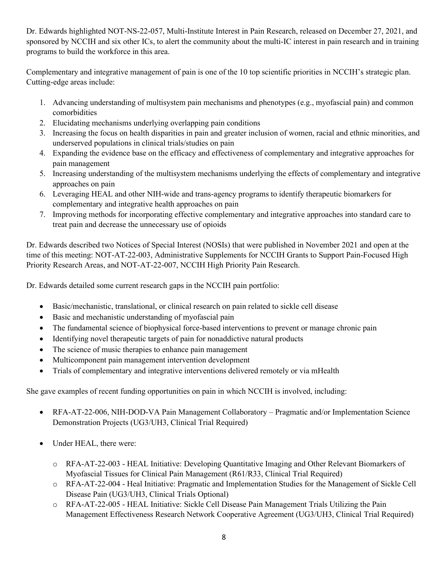Dr. Edwards highlighted NOT-NS-22-057, Multi-Institute Interest in Pain Research, released on December 27, 2021, and sponsored by NCCIH and six other ICs, to alert the community about the multi-IC interest in pain research and in training programs to build the workforce in this area.

Complementary and integrative management of pain is one of the 10 top scientific priorities in NCCIH's strategic plan. Cutting-edge areas include:

- 1. Advancing understanding of multisystem pain mechanisms and phenotypes (e.g., myofascial pain) and common comorbidities
- 2. Elucidating mechanisms underlying overlapping pain conditions
- 3. Increasing the focus on health disparities in pain and greater inclusion of women, racial and ethnic minorities, and underserved populations in clinical trials/studies on pain
- 4. Expanding the evidence base on the efficacy and effectiveness of complementary and integrative approaches for pain management
- 5. Increasing understanding of the multisystem mechanisms underlying the effects of complementary and integrative approaches on pain
- 6. Leveraging HEAL and other NIH-wide and trans-agency programs to identify therapeutic biomarkers for complementary and integrative health approaches on pain
- 7. Improving methods for incorporating effective complementary and integrative approaches into standard care to treat pain and decrease the unnecessary use of opioids

Dr. Edwards described two Notices of Special Interest (NOSIs) that were published in November 2021 and open at the time of this meeting: NOT-AT-22-003, Administrative Supplements for NCCIH Grants to Support Pain-Focused High Priority Research Areas, and NOT-AT-22-007, NCCIH High Priority Pain Research.

Dr. Edwards detailed some current research gaps in the NCCIH pain portfolio:

- Basic/mechanistic, translational, or clinical research on pain related to sickle cell disease
- Basic and mechanistic understanding of myofascial pain
- The fundamental science of biophysical force-based interventions to prevent or manage chronic pain
- Identifying novel therapeutic targets of pain for nonaddictive natural products
- The science of music therapies to enhance pain management
- Multicomponent pain management intervention development
- Trials of complementary and integrative interventions delivered remotely or via mHealth

She gave examples of recent funding opportunities on pain in which NCCIH is involved, including:

- RFA-AT-22-006, NIH-DOD-VA Pain Management Collaboratory Pragmatic and/or Implementation Science Demonstration Projects (UG3/UH3, Clinical Trial Required)
- Under HEAL, there were:
	- o RFA-AT-22-003 HEAL Initiative: Developing Quantitative Imaging and Other Relevant Biomarkers of Myofascial Tissues for Clinical Pain Management (R61/R33, Clinical Trial Required)
	- o RFA-AT-22-004 Heal Initiative: Pragmatic and Implementation Studies for the Management of Sickle Cell Disease Pain (UG3/UH3, Clinical Trials Optional)
	- o RFA-AT-22-005 HEAL Initiative: Sickle Cell Disease Pain Management Trials Utilizing the Pain Management Effectiveness Research Network Cooperative Agreement (UG3/UH3, Clinical Trial Required)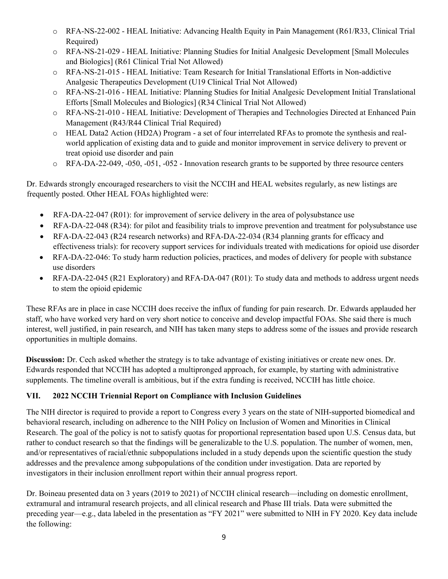- o RFA-NS-22-002 HEAL Initiative: Advancing Health Equity in Pain Management (R61/R33, Clinical Trial Required)
- o RFA-NS-21-029 HEAL Initiative: Planning Studies for Initial Analgesic Development [Small Molecules and Biologics] (R61 Clinical Trial Not Allowed)
- o RFA-NS-21-015 HEAL Initiative: Team Research for Initial Translational Efforts in Non-addictive Analgesic Therapeutics Development (U19 Clinical Trial Not Allowed)
- o RFA-NS-21-016 HEAL Initiative: Planning Studies for Initial Analgesic Development Initial Translational Efforts [Small Molecules and Biologics] (R34 Clinical Trial Not Allowed)
- o RFA-NS-21-010 HEAL Initiative: Development of Therapies and Technologies Directed at Enhanced Pain Management (R43/R44 Clinical Trial Required)
- o HEAL Data2 Action (HD2A) Program a set of four interrelated RFAs to promote the synthesis and realworld application of existing data and to guide and monitor improvement in service delivery to prevent or treat opioid use disorder and pain
- o RFA-DA-22-049, -050, -051, -052 Innovation research grants to be supported by three resource centers

Dr. Edwards strongly encouraged researchers to visit the NCCIH and HEAL websites regularly, as new listings are frequently posted. Other HEAL FOAs highlighted were:

- RFA-DA-22-047 (R01): for improvement of service delivery in the area of polysubstance use
- RFA-DA-22-048 (R34): for pilot and feasibility trials to improve prevention and treatment for polysubstance use
- RFA-DA-22-043 (R24 research networks) and RFA-DA-22-034 (R34 planning grants for efficacy and effectiveness trials): for recovery support services for individuals treated with medications for opioid use disorder
- RFA-DA-22-046: To study harm reduction policies, practices, and modes of delivery for people with substance use disorders
- RFA-DA-22-045 (R21 Exploratory) and RFA-DA-047 (R01): To study data and methods to address urgent needs to stem the opioid epidemic

These RFAs are in place in case NCCIH does receive the influx of funding for pain research. Dr. Edwards applauded her staff, who have worked very hard on very short notice to conceive and develop impactful FOAs. She said there is much interest, well justified, in pain research, and NIH has taken many steps to address some of the issues and provide research opportunities in multiple domains.

**Discussion:** Dr. Cech asked whether the strategy is to take advantage of existing initiatives or create new ones. Dr. Edwards responded that NCCIH has adopted a multipronged approach, for example, by starting with administrative supplements. The timeline overall is ambitious, but if the extra funding is received, NCCIH has little choice.

# **VII. 2022 NCCIH Triennial Report on Compliance with Inclusion Guidelines**

The NIH director is required to provide a report to Congress every 3 years on the state of NIH-supported biomedical and behavioral research, including on adherence to the NIH Policy on Inclusion of Women and Minorities in Clinical Research. The goal of the policy is not to satisfy quotas for proportional representation based upon U.S. Census data, but rather to conduct research so that the findings will be generalizable to the U.S. population. The number of women, men, and/or representatives of racial/ethnic subpopulations included in a study depends upon the scientific question the study addresses and the prevalence among subpopulations of the condition under investigation. Data are reported by investigators in their inclusion enrollment report within their annual progress report.

Dr. Boineau presented data on 3 years (2019 to 2021) of NCCIH clinical research—including on domestic enrollment, extramural and intramural research projects, and all clinical research and Phase III trials. Data were submitted the preceding year—e.g., data labeled in the presentation as "FY 2021" were submitted to NIH in FY 2020. Key data include the following: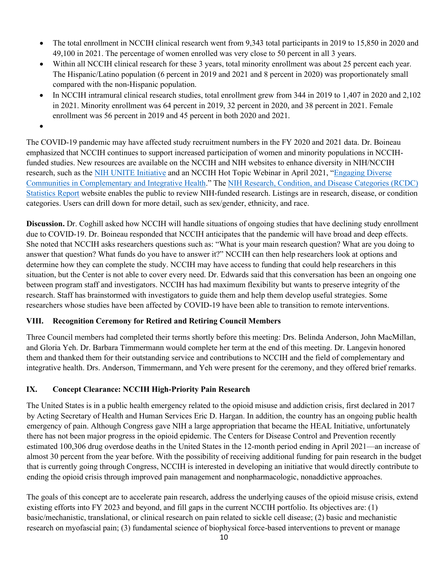- The total enrollment in NCCIH clinical research went from 9,343 total participants in 2019 to 15,850 in 2020 and 49,100 in 2021. The percentage of women enrolled was very close to 50 percent in all 3 years.
- Within all NCCIH clinical research for these 3 years, total minority enrollment was about 25 percent each year. The Hispanic/Latino population (6 percent in 2019 and 2021 and 8 percent in 2020) was proportionately small compared with the non-Hispanic population.
- In NCCIH intramural clinical research studies, total enrollment grew from 344 in 2019 to 1,407 in 2020 and 2,102 in 2021. Minority enrollment was 64 percent in 2019, 32 percent in 2020, and 38 percent in 2021. Female enrollment was 56 percent in 2019 and 45 percent in both 2020 and 2021.

•

The COVID-19 pandemic may have affected study recruitment numbers in the FY 2020 and 2021 data. Dr. Boineau emphasized that NCCIH continues to support increased participation of women and minority populations in NCCIHfunded studies. New resources are available on the NCCIH and NIH websites to enhance diversity in NIH/NCCIH research, such as the [NIH UNITE Initiative](https://www.nih.gov/ending-structural-racism/unite) and an NCCIH Hot Topic Webinar in April 2021, "Engaging Diverse [Communities in Complementary and Integrative Health.](https://bit.ly/EngagingDiverseCommunities)" The [NIH Research, Condition, and Disease Categories \(RCDC\)](https://report.nih.gov/RISR/)  [Statistics Report](https://report.nih.gov/RISR/) website enables the public to review NIH-funded research. Listings are in research, disease, or condition categories. Users can drill down for more detail, such as sex/gender, ethnicity, and race.

**Discussion.** Dr. Coghill asked how NCCIH will handle situations of ongoing studies that have declining study enrollment due to COVID-19. Dr. Boineau responded that NCCIH anticipates that the pandemic will have broad and deep effects. She noted that NCCIH asks researchers questions such as: "What is your main research question? What are you doing to answer that question? What funds do you have to answer it?" NCCIH can then help researchers look at options and determine how they can complete the study. NCCIH may have access to funding that could help researchers in this situation, but the Center is not able to cover every need. Dr. Edwards said that this conversation has been an ongoing one between program staff and investigators. NCCIH has had maximum flexibility but wants to preserve integrity of the research. Staff has brainstormed with investigators to guide them and help them develop useful strategies. Some researchers whose studies have been affected by COVID-19 have been able to transition to remote interventions.

## **VIII. Recognition Ceremony for Retired and Retiring Council Members**

Three Council members had completed their terms shortly before this meeting: Drs. Belinda Anderson, John MacMillan, and Gloria Yeh. Dr. Barbara Timmermann would complete her term at the end of this meeting. Dr. Langevin honored them and thanked them for their outstanding service and contributions to NCCIH and the field of complementary and integrative health. Drs. Anderson, Timmermann, and Yeh were present for the ceremony, and they offered brief remarks.

## **IX. Concept Clearance: NCCIH High-Priority Pain Research**

The United States is in a public health emergency related to the opioid misuse and addiction crisis, first declared in 2017 by Acting Secretary of Health and Human Services Eric D. Hargan. In addition, the country has an ongoing public health emergency of pain. Although Congress gave NIH a large appropriation that became the HEAL Initiative, unfortunately there has not been major progress in the opioid epidemic. The Centers for Disease Control and Prevention recently estimated 100,306 drug overdose deaths in the United States in the 12-month period ending in April 2021—an increase of almost 30 percent from the year before. With the possibility of receiving additional funding for pain research in the budget that is currently going through Congress, NCCIH is interested in developing an initiative that would directly contribute to ending the opioid crisis through improved pain management and nonpharmacologic, nonaddictive approaches.

The goals of this concept are to accelerate pain research, address the underlying causes of the opioid misuse crisis, extend existing efforts into FY 2023 and beyond, and fill gaps in the current NCCIH portfolio. Its objectives are: (1) basic/mechanistic, translational, or clinical research on pain related to sickle cell disease; (2) basic and mechanistic research on myofascial pain; (3) fundamental science of biophysical force-based interventions to prevent or manage